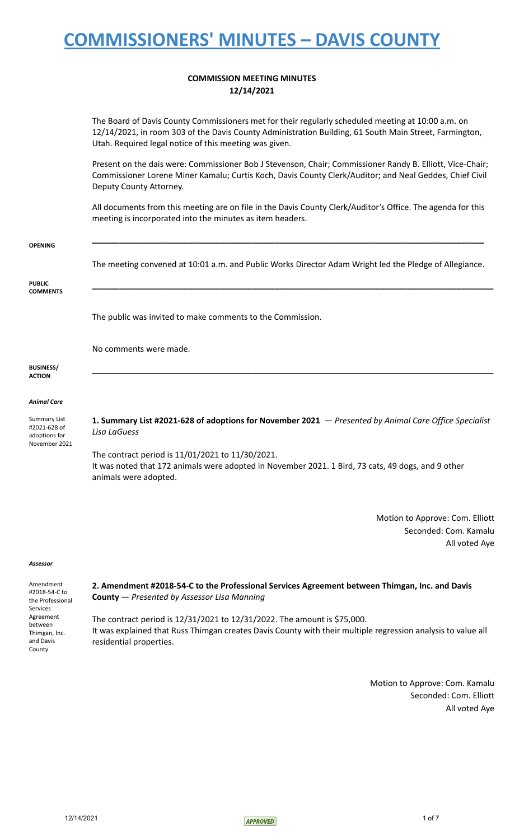## **COMMISSION MEETING MINUTES 12/14/2021**

The Board of Davis County Commissioners met for their regularly scheduled meeting at 10:00 a.m. on 12/14/2021, in room 303 of the Davis County Administration Building, 61 South Main Street, Farmington, Utah. Required legal notice of this meeting was given.

Present on the dais were: Commissioner Bob J Stevenson, Chair; Commissioner Randy B. Elliott, Vice-Chair; Commissioner Lorene Miner Kamalu; Curtis Koch, Davis County Clerk/Auditor; and Neal Geddes, Chief Civil Deputy County Attorney.

All documents from this meeting are on file in the Davis County Clerk/Auditor's Office. The agenda for this meeting is incorporated into the minutes as item headers.

| <b>OPENING</b>                                                 |                                                                                                                                                                                 |
|----------------------------------------------------------------|---------------------------------------------------------------------------------------------------------------------------------------------------------------------------------|
|                                                                | The meeting convened at 10:01 a.m. and Public Works Director Adam Wright led the Pledge of Allegiance.                                                                          |
| <b>PUBLIC</b><br><b>COMMENTS</b>                               |                                                                                                                                                                                 |
|                                                                | The public was invited to make comments to the Commission.                                                                                                                      |
|                                                                | No comments were made.                                                                                                                                                          |
| <b>BUSINESS/</b><br><b>ACTION</b>                              |                                                                                                                                                                                 |
| <b>Animal Care</b>                                             |                                                                                                                                                                                 |
| Summary List<br>#2021-628 of<br>adoptions for<br>November 2021 | 1. Summary List #2021-628 of adoptions for November 2021 $-$ Presented by Animal Care Office Specialist<br>Lisa LaGuess                                                         |
|                                                                | The contract period is 11/01/2021 to 11/30/2021.<br>It was noted that 172 animals were adopted in November 2021. 1 Bird, 73 cats, 49 dogs, and 9 other<br>animals were adopted. |
|                                                                |                                                                                                                                                                                 |

Motion to Approve: Com. Elliott Seconded: Com. Kamalu All voted Aye

#### *Assessor*

| Amendment        |
|------------------|
| #2018-54-C to    |
| the Professional |
| Services         |
| Agreement        |
| hetween          |
| Thimgan, Inc.    |
| and Davis        |
| County           |

**2. Amendment #2018-54-C to the Professional Services Agreement between Thimgan, Inc. and Davis County** — *Presented by Assessor Lisa Manning*

The contract period is 12/31/2021 to 12/31/2022. The amount is \$75,000. It was explained that Russ Thimgan creates Davis County with their multiple regression analysis to value all residential properties.

> Motion to Approve: Com. Kamalu Seconded: Com. Elliott All voted Aye

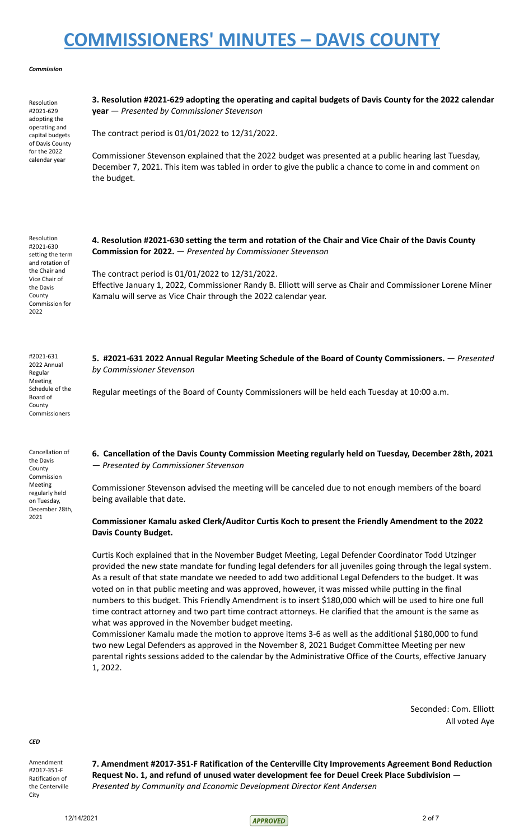### *Commission*

Resolution #2021-629 adopting the operating and capital budgets of Davis County for the 2022 calendar year

**3. Resolution #2021-629 adopting the operating and capital budgets of Davis County for the 2022 calendar year** — *Presented by Commissioner Stevenson*

The contract period is 01/01/2022 to 12/31/2022.

Commissioner Stevenson explained that the 2022 budget was presented at a public hearing last Tuesday, December 7, 2021. This item was tabled in order to give the public a chance to come in and comment on the budget.

Resolution #2021-630 setting the term and rotation of the Chair and Vice Chair of the Davis County Commission for 2022

#2021-631 2022 Annual Regular Meeting Schedule of the Board of County Commissioners

Cancellation of the Davis County Commission Meeting regularly held on Tuesday, December 28th, 2021

4. Resolution #2021-630 setting the term and rotation of the Chair and Vice Chair of the Davis County **Commission for 2022.** — *Presented by Commissioner Stevenson*

The contract period is 01/01/2022 to 12/31/2022. Effective January 1, 2022, Commissioner Randy B. Elliott will serve as Chair and Commissioner Lorene Miner Kamalu will serve as Vice Chair through the 2022 calendar year.

**5. #2021-631 2022 Annual Regular Meeting Schedule of the Board of County Commissioners.** — *Presented by Commissioner Stevenson*

Regular meetings of the Board of County Commissioners will be held each Tuesday at 10:00 a.m.

**6. Cancellation of the Davis County Commission Meeting regularly held on Tuesday, December 28th, 2021** — *Presented by Commissioner Stevenson*

Commissioner Stevenson advised the meeting will be canceled due to not enough members of the board being available that date.

## **Commissioner Kamalu asked Clerk/Auditor Curtis Koch to present the Friendly Amendment to the 2022 Davis County Budget.**

Curtis Koch explained that in the November Budget Meeting, Legal Defender Coordinator Todd Utzinger provided the new state mandate for funding legal defenders for all juveniles going through the legal system. As a result of that state mandate we needed to add two additional Legal Defenders to the budget. It was voted on in that public meeting and was approved, however, it was missed while putting in the final numbers to this budget. This Friendly Amendment is to insert \$180,000 which will be used to hire one full time contract attorney and two part time contract attorneys. He clarified that the amount is the same as what was approved in the November budget meeting.

Commissioner Kamalu made the motion to approve items 3-6 as well as the additional \$180,000 to fund two new Legal Defenders as approved in the November 8, 2021 Budget Committee Meeting per new parental rights sessions added to the calendar by the Administrative Office of the Courts, effective January 1, 2022.

> Seconded: Com. Elliott All voted Aye

*CED*

Amendment #2017-351-F Ratification of the Centerville **City** 

**7. Amendment #2017-351-F Ratification of the Centerville City Improvements Agreement Bond Reduction Request No. 1, and refund of unused water development fee for Deuel Creek Place Subdivision** — *Presented by Community and Economic Development Director Kent Andersen*

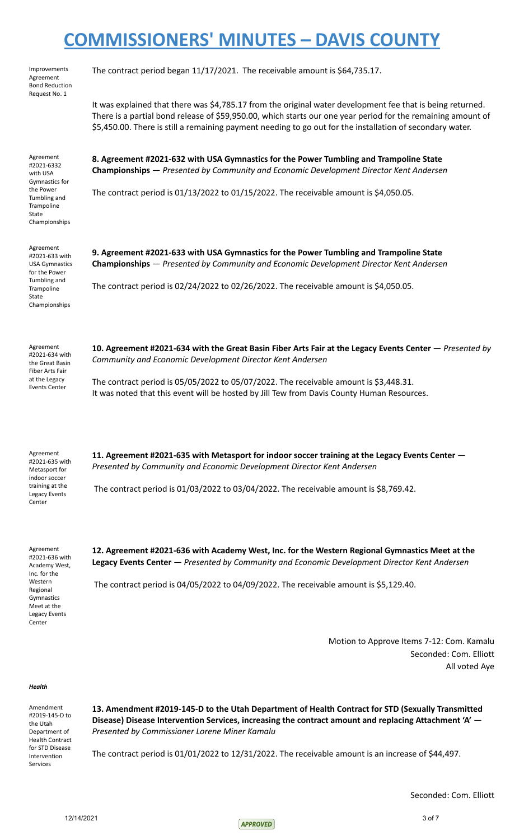| Improvements<br>Agreement<br><b>Bond Reduction</b><br>Request No. 1                                                                         | The contract period began 11/17/2021. The receivable amount is \$64,735.17.                                                                                                                                                                                                                                                             |
|---------------------------------------------------------------------------------------------------------------------------------------------|-----------------------------------------------------------------------------------------------------------------------------------------------------------------------------------------------------------------------------------------------------------------------------------------------------------------------------------------|
|                                                                                                                                             | It was explained that there was \$4,785.17 from the original water development fee that is being returned.<br>There is a partial bond release of \$59,950.00, which starts our one year period for the remaining amount of<br>\$5,450.00. There is still a remaining payment needing to go out for the installation of secondary water. |
| Agreement<br>#2021-6332<br>with USA<br>Gymnastics for<br>the Power<br>Tumbling and<br>Trampoline<br>State<br>Championships                  | 8. Agreement #2021-632 with USA Gymnastics for the Power Tumbling and Trampoline State<br>Championships - Presented by Community and Economic Development Director Kent Andersen                                                                                                                                                        |
|                                                                                                                                             | The contract period is $01/13/2022$ to $01/15/2022$ . The receivable amount is \$4,050.05.                                                                                                                                                                                                                                              |
| Agreement<br>#2021-633 with<br><b>USA Gymnastics</b><br>for the Power                                                                       | 9. Agreement #2021-633 with USA Gymnastics for the Power Tumbling and Trampoline State<br>Championships - Presented by Community and Economic Development Director Kent Andersen                                                                                                                                                        |
| Tumbling and<br>Trampoline<br>State<br>Championships                                                                                        | The contract period is $02/24/2022$ to $02/26/2022$ . The receivable amount is \$4,050.05.                                                                                                                                                                                                                                              |
| Agreement<br>#2021-634 with<br>the Great Basin                                                                                              | 10. Agreement #2021-634 with the Great Basin Fiber Arts Fair at the Legacy Events Center - Presented by<br>Community and Economic Development Director Kent Andersen                                                                                                                                                                    |
| Fiber Arts Fair<br>at the Legacy<br><b>Events Center</b>                                                                                    | The contract period is $05/05/2022$ to $05/07/2022$ . The receivable amount is \$3,448.31.<br>It was noted that this event will be hosted by Jill Tew from Davis County Human Resources.                                                                                                                                                |
| Agreement<br>#2021-635 with<br>Metasport for<br>indoor soccer                                                                               | 11. Agreement #2021-635 with Metasport for indoor soccer training at the Legacy Events Center -<br>Presented by Community and Economic Development Director Kent Andersen                                                                                                                                                               |
| training at the<br>Legacy Events<br>Center                                                                                                  | The contract period is $01/03/2022$ to $03/04/2022$ . The receivable amount is \$8,769.42.                                                                                                                                                                                                                                              |
| Agreement<br>#2021-636 with<br>Academy West,<br>Inc. for the<br>Western<br>Regional<br>Gymnastics<br>Meet at the<br>Legacy Events<br>Center | 12. Agreement #2021-636 with Academy West, Inc. for the Western Regional Gymnastics Meet at the<br>Legacy Events Center - Presented by Community and Economic Development Director Kent Andersen                                                                                                                                        |
|                                                                                                                                             | The contract period is 04/05/2022 to 04/09/2022. The receivable amount is \$5,129.40.                                                                                                                                                                                                                                                   |
|                                                                                                                                             | Motion to Approve Items 7-12: Com. Kamalu<br>Seconded: Com. Elliott<br>All voted Aye                                                                                                                                                                                                                                                    |
| Health                                                                                                                                      |                                                                                                                                                                                                                                                                                                                                         |

Amendment #2019-145-D to the Utah Department of Health Contract for STD Disease Intervention Services

**13. Amendment #2019-145-D to the Utah Department of Health Contract for STD (Sexually Transmitted Disease) Disease Intervention Services, increasing the contract amount and replacing Attachment 'A'** — *Presented by Commissioner Lorene Miner Kamalu*

The contract period is 01/01/2022 to 12/31/2022. The receivable amount is an increase of \$44,497.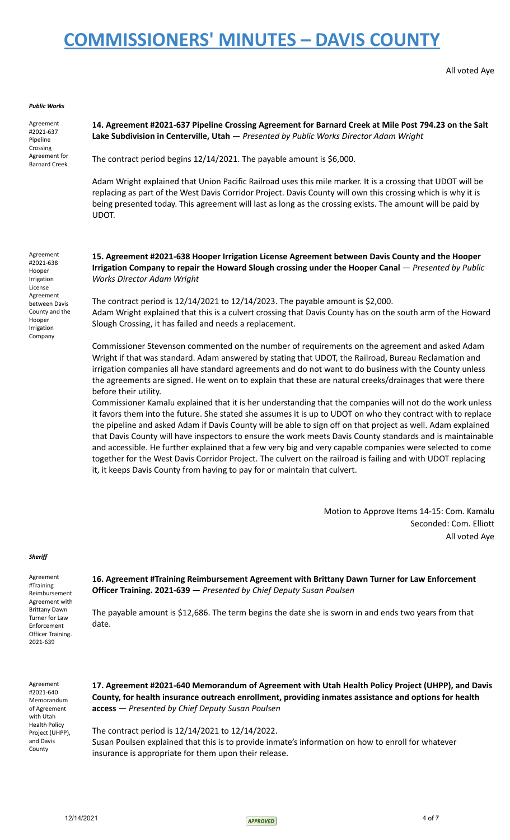### All voted Aye

### *Public Works*

Agreement #2021-637 Pipeline Crossing Agreement for Barnard Creek

**14. Agreement #2021-637 Pipeline Crossing Agreement for Barnard Creek at Mile Post 794.23 on the Salt Lake Subdivision in Centerville, Utah** — *Presented by Public Works Director Adam Wright*

The contract period begins 12/14/2021. The payable amount is \$6,000.

Adam Wright explained that Union Pacific Railroad uses this mile marker. It is a crossing that UDOT will be replacing as part of the West Davis Corridor Project. Davis County will own this crossing which is why it is being presented today. This agreement will last as long as the crossing exists. The amount will be paid by UDOT.

Agreement #2021-638 Hooper Irrigation License Agreement between Davis County and the Hooper Irrigation Company

**15. Agreement #2021-638 Hooper Irrigation License Agreement between Davis County and the Hooper Irrigation Company to repair the Howard Slough crossing under the Hooper Canal** — *Presented by Public Works Director Adam Wright*

The contract period is 12/14/2021 to 12/14/2023. The payable amount is \$2,000. Adam Wright explained that this is a culvert crossing that Davis County has on the south arm of the Howard Slough Crossing, it has failed and needs a replacement.

Commissioner Stevenson commented on the number of requirements on the agreement and asked Adam Wright if that was standard. Adam answered by stating that UDOT, the Railroad, Bureau Reclamation and irrigation companies all have standard agreements and do not want to do business with the County unless the agreements are signed. He went on to explain that these are natural creeks/drainages that were there before their utility.

Commissioner Kamalu explained that it is her understanding that the companies will not do the work unless it favors them into the future. She stated she assumes it is up to UDOT on who they contract with to replace the pipeline and asked Adam if Davis County will be able to sign off on that project as well. Adam explained that Davis County will have inspectors to ensure the work meets Davis County standards and is maintainable and accessible. He further explained that a few very big and very capable companies were selected to come together for the West Davis Corridor Project. The culvert on the railroad is failing and with UDOT replacing it, it keeps Davis County from having to pay for or maintain that culvert.

> Motion to Approve Items 14-15: Com. Kamalu Seconded: Com. Elliott All voted Aye

#### *Sheriff*

Agreement #Training Reimbursement Agreement with Brittany Dawn Turner for Law Enforcement Officer Training. 2021-639

**16. Agreement #Training Reimbursement Agreement with Brittany Dawn Turner for Law Enforcement Officer Training. 2021-639** — *Presented by Chief Deputy Susan Poulsen*

The payable amount is \$12,686. The term begins the date she is sworn in and ends two years from that date.

Agreement #2021-640 Memorandum of Agreement with Utah Health Policy Project (UHPP), and Davis **County** 

**17. Agreement #2021-640 Memorandum of Agreement with Utah Health Policy Project (UHPP), and Davis County, for health insurance outreach enrollment, providing inmates assistance and options for health access** — *Presented by Chief Deputy Susan Poulsen*

The contract period is 12/14/2021 to 12/14/2022. Susan Poulsen explained that this is to provide inmate's information on how to enroll for whatever insurance is appropriate for them upon their release.

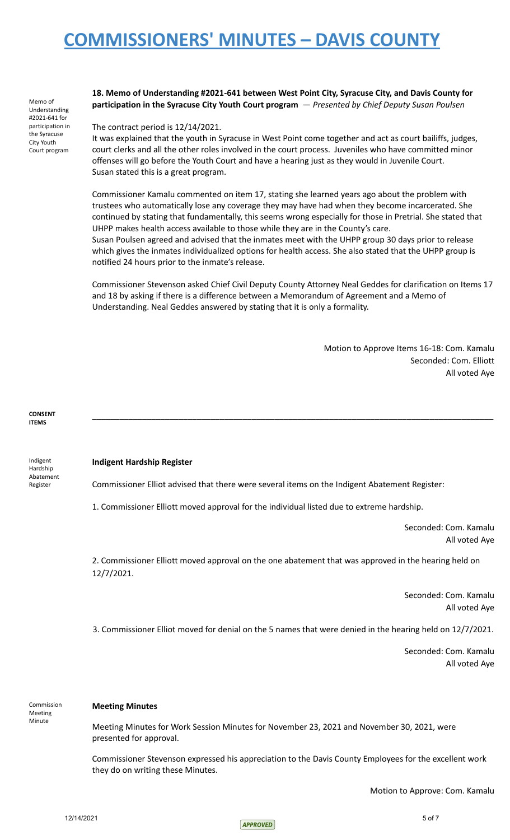Memo of Understanding #2021-641 for participation in the Syracuse City Youth Court program **18. Memo of Understanding #2021-641 between West Point City, Syracuse City, and Davis County for participation in the Syracuse City Youth Court program** — *Presented by Chief Deputy Susan Poulsen*

### The contract period is 12/14/2021.

It was explained that the youth in Syracuse in West Point come together and act as court bailiffs, judges, court clerks and all the other roles involved in the court process. Juveniles who have committed minor offenses will go before the Youth Court and have a hearing just as they would in Juvenile Court. Susan stated this is a great program.

Commissioner Kamalu commented on item 17, stating she learned years ago about the problem with trustees who automatically lose any coverage they may have had when they become incarcerated. She continued by stating that fundamentally, this seems wrong especially for those in Pretrial. She stated that UHPP makes health access available to those while they are in the County's care.

Susan Poulsen agreed and advised that the inmates meet with the UHPP group 30 days prior to release which gives the inmates individualized options for health access. She also stated that the UHPP group is notified 24 hours prior to the inmate's release.

Commissioner Stevenson asked Chief Civil Deputy County Attorney Neal Geddes for clarification on Items 17 and 18 by asking if there is a difference between a Memorandum of Agreement and a Memo of Understanding. Neal Geddes answered by stating that it is only a formality.

**\_\_\_\_\_\_\_\_\_\_\_\_\_\_\_\_\_\_\_\_\_\_\_\_\_\_\_\_\_\_\_\_\_\_\_\_\_\_\_\_\_\_\_\_\_\_\_\_\_\_\_\_\_\_\_\_\_\_\_\_\_\_\_\_\_\_\_\_\_\_\_\_\_\_\_\_\_\_\_\_\_\_\_\_\_\_\_\_**

Motion to Approve Items 16-18: Com. Kamalu Seconded: Com. Elliott All voted Aye

**CONSENT ITEMS**

Indigent Hardship Abatement Register

### **Indigent Hardship Register**

Commissioner Elliot advised that there were several items on the Indigent Abatement Register:

1. Commissioner Elliott moved approval for the individual listed due to extreme hardship.

Seconded: Com. Kamalu All voted Aye

2. Commissioner Elliott moved approval on the one abatement that was approved in the hearing held on 12/7/2021.

> Seconded: Com. Kamalu All voted Aye

3. Commissioner Elliot moved for denial on the 5 names that were denied in the hearing held on 12/7/2021.

Seconded: Com. Kamalu All voted Aye

Commission Meeting Minute

### **Meeting Minutes**

Meeting Minutes for Work Session Minutes for November 23, 2021 and November 30, 2021, were presented for approval.

Commissioner Stevenson expressed his appreciation to the Davis County Employees for the excellent work they do on writing these Minutes.

Motion to Approve: Com. Kamalu

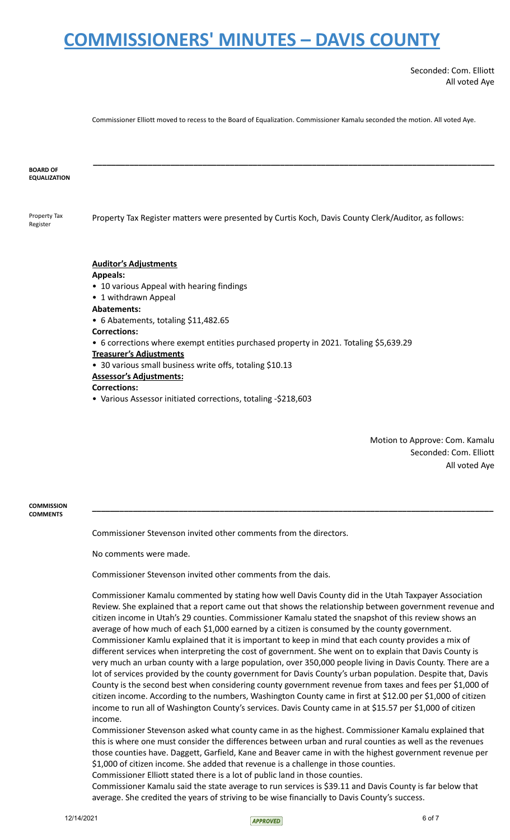Seconded: Com. Elliott All voted Aye

Commissioner Elliott moved to recess to the Board of Equalization. Commissioner Kamalu seconded the motion. All voted Aye.

| <b>BOARD OF</b><br><b>EQUALIZATION</b> |                                                                                                                                                                                                                                                                                                                                                                                                                                                           |
|----------------------------------------|-----------------------------------------------------------------------------------------------------------------------------------------------------------------------------------------------------------------------------------------------------------------------------------------------------------------------------------------------------------------------------------------------------------------------------------------------------------|
| Property Tax<br>Register               | Property Tax Register matters were presented by Curtis Koch, Davis County Clerk/Auditor, as follows:                                                                                                                                                                                                                                                                                                                                                      |
|                                        | <b>Auditor's Adjustments</b><br><b>Appeals:</b><br>• 10 various Appeal with hearing findings<br>• 1 withdrawn Appeal<br><b>Abatements:</b><br>• 6 Abatements, totaling \$11,482.65<br><b>Corrections:</b><br>• 6 corrections where exempt entities purchased property in 2021. Totaling \$5,639.29<br><b>Treasurer's Adjustments</b><br>• 30 various small business write offs, totaling \$10.13<br><b>Assessor's Adjustments:</b><br><b>Corrections:</b> |

• Various Assessor initiated corrections, totaling -\$218,603

Motion to Approve: Com. Kamalu Seconded: Com. Elliott All voted Aye

**COMMISSION COMMENTS**

Commissioner Stevenson invited other comments from the directors.

No comments were made.

Commissioner Stevenson invited other comments from the dais.

Commissioner Kamalu commented by stating how well Davis County did in the Utah Taxpayer Association Review. She explained that a report came out that shows the relationship between government revenue and citizen income in Utah's 29 counties. Commissioner Kamalu stated the snapshot of this review shows an average of how much of each \$1,000 earned by a citizen is consumed by the county government. Commissioner Kamlu explained that it is important to keep in mind that each county provides a mix of different services when interpreting the cost of government. She went on to explain that Davis County is very much an urban county with a large population, over 350,000 people living in Davis County. There are a lot of services provided by the county government for Davis County's urban population. Despite that, Davis County is the second best when considering county government revenue from taxes and fees per \$1,000 of citizen income. According to the numbers, Washington County came in first at \$12.00 per \$1,000 of citizen income to run all of Washington County's services. Davis County came in at \$15.57 per \$1,000 of citizen income.

**\_\_\_\_\_\_\_\_\_\_\_\_\_\_\_\_\_\_\_\_\_\_\_\_\_\_\_\_\_\_\_\_\_\_\_\_\_\_\_\_\_\_\_\_\_\_\_\_\_\_\_\_\_\_\_\_\_\_\_\_\_\_\_\_\_\_\_\_\_\_\_\_\_\_\_\_\_\_\_\_\_\_\_\_\_\_\_\_**

Commissioner Stevenson asked what county came in as the highest. Commissioner Kamalu explained that this is where one must consider the differences between urban and rural counties as well as the revenues those counties have. Daggett, Garfield, Kane and Beaver came in with the highest government revenue per \$1,000 of citizen income. She added that revenue is a challenge in those counties. Commissioner Elliott stated there is a lot of public land in those counties.

Commissioner Kamalu said the state average to run services is \$39.11 and Davis County is far below that average. She credited the years of striving to be wise financially to Davis County's success.